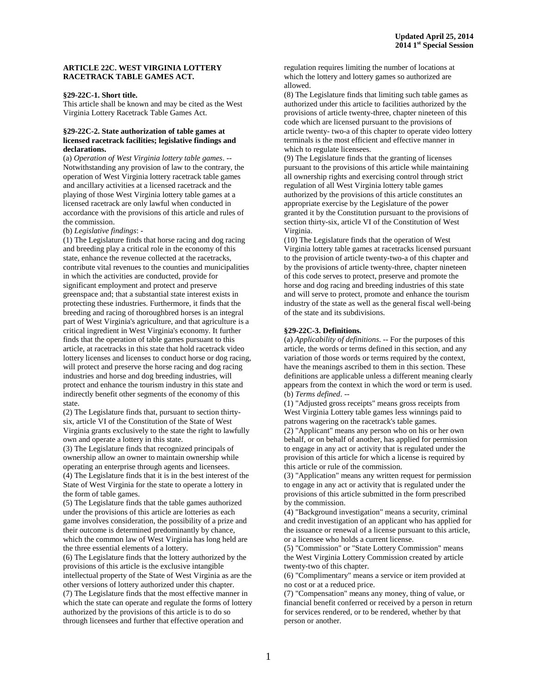# **ARTICLE 22C. WEST VIRGINIA LOTTERY RACETRACK TABLE GAMES ACT.**

#### **§29-22C-1. Short title.**

This article shall be known and may be cited as the West Virginia Lottery Racetrack Table Games Act.

### **§29-22C-2. State authorization of table games at licensed racetrack facilities; legislative findings and declarations.**

(a) *Operation of West Virginia lottery table games*. -- Notwithstanding any provision of law to the contrary, the operation of West Virginia lottery racetrack table games and ancillary activities at a licensed racetrack and the playing of those West Virginia lottery table games at a licensed racetrack are only lawful when conducted in accordance with the provisions of this article and rules of the commission.

(b) *Legislative findings*: -

(1) The Legislature finds that horse racing and dog racing and breeding play a critical role in the economy of this state, enhance the revenue collected at the racetracks, contribute vital revenues to the counties and municipalities in which the activities are conducted, provide for significant employment and protect and preserve greenspace and; that a substantial state interest exists in protecting these industries. Furthermore, it finds that the breeding and racing of thoroughbred horses is an integral part of West Virginia's agriculture, and that agriculture is a critical ingredient in West Virginia's economy. It further finds that the operation of table games pursuant to this article, at racetracks in this state that hold racetrack video lottery licenses and licenses to conduct horse or dog racing, will protect and preserve the horse racing and dog racing industries and horse and dog breeding industries, will protect and enhance the tourism industry in this state and indirectly benefit other segments of the economy of this state.

(2) The Legislature finds that, pursuant to section thirtysix, article VI of the Constitution of the State of West Virginia grants exclusively to the state the right to lawfully own and operate a lottery in this state.

(3) The Legislature finds that recognized principals of ownership allow an owner to maintain ownership while operating an enterprise through agents and licensees. (4) The Legislature finds that it is in the best interest of the State of West Virginia for the state to operate a lottery in the form of table games.

(5) The Legislature finds that the table games authorized under the provisions of this article are lotteries as each game involves consideration, the possibility of a prize and their outcome is determined predominantly by chance, which the common law of West Virginia has long held are the three essential elements of a lottery.

(6) The Legislature finds that the lottery authorized by the provisions of this article is the exclusive intangible intellectual property of the State of West Virginia as are the other versions of lottery authorized under this chapter. (7) The Legislature finds that the most effective manner in which the state can operate and regulate the forms of lottery authorized by the provisions of this article is to do so through licensees and further that effective operation and

regulation requires limiting the number of locations at which the lottery and lottery games so authorized are allowed.

(8) The Legislature finds that limiting such table games as authorized under this article to facilities authorized by the provisions of article twenty-three, chapter nineteen of this code which are licensed pursuant to the provisions of article twenty- two-a of this chapter to operate video lottery terminals is the most efficient and effective manner in which to regulate licensees.

(9) The Legislature finds that the granting of licenses pursuant to the provisions of this article while maintaining all ownership rights and exercising control through strict regulation of all West Virginia lottery table games authorized by the provisions of this article constitutes an appropriate exercise by the Legislature of the power granted it by the Constitution pursuant to the provisions of section thirty-six, article VI of the Constitution of West Virginia.

(10) The Legislature finds that the operation of West Virginia lottery table games at racetracks licensed pursuant to the provision of article twenty-two-a of this chapter and by the provisions of article twenty-three, chapter nineteen of this code serves to protect, preserve and promote the horse and dog racing and breeding industries of this state and will serve to protect, promote and enhance the tourism industry of the state as well as the general fiscal well-being of the state and its subdivisions.

### **§29-22C-3. Definitions.**

(a) *Applicability of definitions*. -- For the purposes of this article, the words or terms defined in this section, and any variation of those words or terms required by the context, have the meanings ascribed to them in this section. These definitions are applicable unless a different meaning clearly appears from the context in which the word or term is used. (b) *Terms defined*. --

(1) "Adjusted gross receipts" means gross receipts from West Virginia Lottery table games less winnings paid to patrons wagering on the racetrack's table games.

(2) "Applicant" means any person who on his or her own behalf, or on behalf of another, has applied for permission to engage in any act or activity that is regulated under the provision of this article for which a license is required by this article or rule of the commission.

(3) "Application" means any written request for permission to engage in any act or activity that is regulated under the provisions of this article submitted in the form prescribed by the commission.

(4) "Background investigation" means a security, criminal and credit investigation of an applicant who has applied for the issuance or renewal of a license pursuant to this article, or a licensee who holds a current license.

(5) "Commission" or "State Lottery Commission" means the West Virginia Lottery Commission created by article twenty-two of this chapter.

(6) "Complimentary" means a service or item provided at no cost or at a reduced price.

(7) "Compensation" means any money, thing of value, or financial benefit conferred or received by a person in return for services rendered, or to be rendered, whether by that person or another.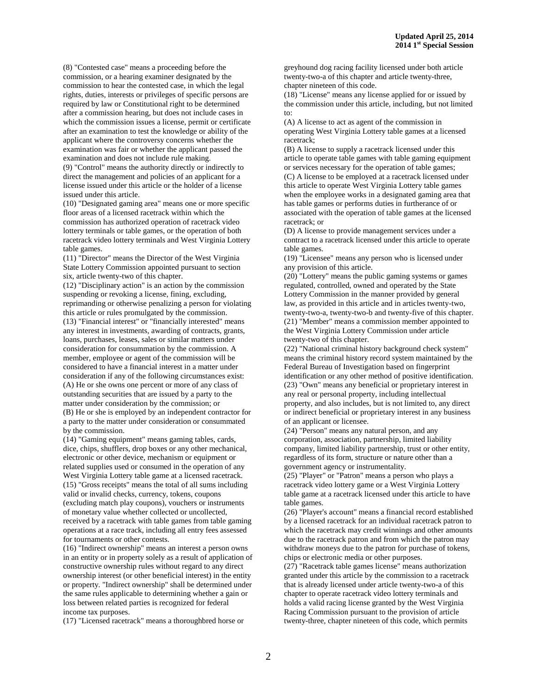(8) "Contested case" means a proceeding before the commission, or a hearing examiner designated by the commission to hear the contested case, in which the legal rights, duties, interests or privileges of specific persons are required by law or Constitutional right to be determined after a commission hearing, but does not include cases in which the commission issues a license, permit or certificate after an examination to test the knowledge or ability of the applicant where the controversy concerns whether the examination was fair or whether the applicant passed the examination and does not include rule making.

(9) "Control" means the authority directly or indirectly to direct the management and policies of an applicant for a license issued under this article or the holder of a license issued under this article.

(10) "Designated gaming area" means one or more specific floor areas of a licensed racetrack within which the commission has authorized operation of racetrack video lottery terminals or table games, or the operation of both racetrack video lottery terminals and West Virginia Lottery table games.

(11) "Director" means the Director of the West Virginia State Lottery Commission appointed pursuant to section six, article twenty-two of this chapter.

(12) "Disciplinary action" is an action by the commission suspending or revoking a license, fining, excluding, reprimanding or otherwise penalizing a person for violating this article or rules promulgated by the commission. (13) "Financial interest" or "financially interested" means any interest in investments, awarding of contracts, grants, loans, purchases, leases, sales or similar matters under consideration for consummation by the commission. A member, employee or agent of the commission will be considered to have a financial interest in a matter under consideration if any of the following circumstances exist: (A) He or she owns one percent or more of any class of outstanding securities that are issued by a party to the matter under consideration by the commission; or (B) He or she is employed by an independent contractor for a party to the matter under consideration or consummated by the commission.

(14) "Gaming equipment" means gaming tables, cards, dice, chips, shufflers, drop boxes or any other mechanical, electronic or other device, mechanism or equipment or related supplies used or consumed in the operation of any West Virginia Lottery table game at a licensed racetrack. (15) "Gross receipts" means the total of all sums including valid or invalid checks, currency, tokens, coupons (excluding match play coupons), vouchers or instruments of monetary value whether collected or uncollected, received by a racetrack with table games from table gaming operations at a race track, including all entry fees assessed for tournaments or other contests.

(16) "Indirect ownership" means an interest a person owns in an entity or in property solely as a result of application of constructive ownership rules without regard to any direct ownership interest (or other beneficial interest) in the entity or property. "Indirect ownership" shall be determined under the same rules applicable to determining whether a gain or loss between related parties is recognized for federal income tax purposes.

(17) "Licensed racetrack" means a thoroughbred horse or

greyhound dog racing facility licensed under both article twenty-two-a of this chapter and article twenty-three, chapter nineteen of this code.

(18) "License" means any license applied for or issued by the commission under this article, including, but not limited to:

(A) A license to act as agent of the commission in operating West Virginia Lottery table games at a licensed racetrack;

(B) A license to supply a racetrack licensed under this article to operate table games with table gaming equipment or services necessary for the operation of table games; (C) A license to be employed at a racetrack licensed under this article to operate West Virginia Lottery table games when the employee works in a designated gaming area that has table games or performs duties in furtherance of or associated with the operation of table games at the licensed racetrack; or

(D) A license to provide management services under a contract to a racetrack licensed under this article to operate table games.

(19) "Licensee" means any person who is licensed under any provision of this article.

(20) "Lottery" means the public gaming systems or games regulated, controlled, owned and operated by the State Lottery Commission in the manner provided by general law, as provided in this article and in articles twenty-two, twenty-two-a, twenty-two-b and twenty-five of this chapter. (21) "Member" means a commission member appointed to the West Virginia Lottery Commission under article twenty-two of this chapter.

(22) "National criminal history background check system" means the criminal history record system maintained by the Federal Bureau of Investigation based on fingerprint identification or any other method of positive identification. (23) "Own" means any beneficial or proprietary interest in any real or personal property, including intellectual property, and also includes, but is not limited to, any direct or indirect beneficial or proprietary interest in any business of an applicant or licensee.

(24) "Person" means any natural person, and any corporation, association, partnership, limited liability company, limited liability partnership, trust or other entity, regardless of its form, structure or nature other than a government agency or instrumentality.

(25) "Player" or "Patron" means a person who plays a racetrack video lottery game or a West Virginia Lottery table game at a racetrack licensed under this article to have table games.

(26) "Player's account" means a financial record established by a licensed racetrack for an individual racetrack patron to which the racetrack may credit winnings and other amounts due to the racetrack patron and from which the patron may withdraw moneys due to the patron for purchase of tokens, chips or electronic media or other purposes.

(27) "Racetrack table games license" means authorization granted under this article by the commission to a racetrack that is already licensed under article twenty-two-a of this chapter to operate racetrack video lottery terminals and holds a valid racing license granted by the West Virginia Racing Commission pursuant to the provision of article twenty-three, chapter nineteen of this code, which permits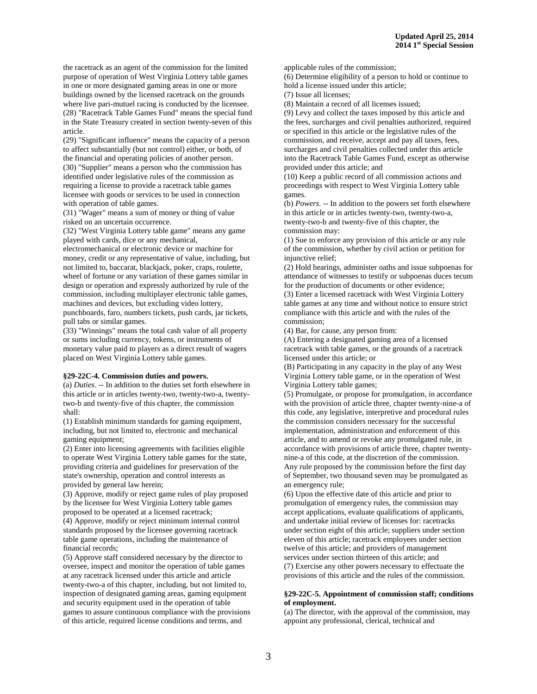the racetrack as an agent of the commission for the limited purpose of operation of West Virginia Lottery table games in one or more designated gaming areas in one or more buildings owned by the licensed racetrack on the grounds where live pari-mutuel racing is conducted by the licensee. (28) "Racetrack Table Games Fund" means the special fund in the State Treasury created in section twenty-seven of this article.

(29) "Significant influence" means the capacity of a person to affect substantially (but not control) either, or both, of the financial and operating policies of another person. (30) "Supplier" means a person who the commission has identified under legislative rules of the commission as requiring a license to provide a racetrack table games licensee with goods or services to be used in connection with operation of table games.

(31) "Wager" means a sum of money or thing of value risked on an uncertain occurrence.

(32) "West Virginia Lottery table game" means any game played with cards, dice or any mechanical,

electromechanical or electronic device or machine for money, credit or any representative of value, including, but not limited to, baccarat, blackjack, poker, craps, roulette, wheel of fortune or any variation of these games similar in design or operation and expressly authorized by rule of the commission, including multiplayer electronic table games, machines and devices, but excluding video lottery, punchboards, faro, numbers tickets, push cards, jar tickets, pull tabs or similar games.

(33) "Winnings" means the total cash value of all property or sums including currency, tokens, or instruments of monetary value paid to players as a direct result of wagers placed on West Virginia Lottery table games.

### **§29-22C-4. Commission duties and powers.**

(a) *Duties*. -- In addition to the duties set forth elsewhere in this article or in articles twenty-two, twenty-two-a, twentytwo-b and twenty-five of this chapter, the commission shall:

(1) Establish minimum standards for gaming equipment, including, but not limited to, electronic and mechanical gaming equipment;

(2) Enter into licensing agreements with facilities eligible to operate West Virginia Lottery table games for the state, providing criteria and guidelines for preservation of the state's ownership, operation and control interests as provided by general law herein;

(3) Approve, modify or reject game rules of play proposed by the licensee for West Virginia Lottery table games proposed to be operated at a licensed racetrack;

(4) Approve, modify or reject minimum internal control standards proposed by the licensee governing racetrack table game operations, including the maintenance of financial records;

(5) Approve staff considered necessary by the director to oversee, inspect and monitor the operation of table games at any racetrack licensed under this article and article twenty-two-a of this chapter, including, but not limited to, inspection of designated gaming areas, gaming equipment and security equipment used in the operation of table games to assure continuous compliance with the provisions of this article, required license conditions and terms, and

applicable rules of the commission;

(6) Determine eligibility of a person to hold or continue to hold a license issued under this article;

(7) Issue all licenses;

(8) Maintain a record of all licenses issued;

(9) Levy and collect the taxes imposed by this article and the fees, surcharges and civil penalties authorized, required or specified in this article or the legislative rules of the commission, and receive, accept and pay all taxes, fees, surcharges and civil penalties collected under this article into the Racetrack Table Games Fund, except as otherwise provided under this article; and

(10) Keep a public record of all commission actions and proceedings with respect to West Virginia Lottery table games.

(b) *Powers*. -- In addition to the powers set forth elsewhere in this article or in articles twenty-two, twenty-two-a, twenty-two-b and twenty-five of this chapter, the commission may:

(1) Sue to enforce any provision of this article or any rule of the commission, whether by civil action or petition for injunctive relief;

(2) Hold hearings, administer oaths and issue subpoenas for attendance of witnesses to testify or subpoenas duces tecum for the production of documents or other evidence;

(3) Enter a licensed racetrack with West Virginia Lottery table games at any time and without notice to ensure strict compliance with this article and with the rules of the commission;

(4) Bar, for cause, any person from:

(A) Entering a designated gaming area of a licensed racetrack with table games, or the grounds of a racetrack licensed under this article; or

(B) Participating in any capacity in the play of any West Virginia Lottery table game, or in the operation of West Virginia Lottery table games;

(5) Promulgate, or propose for promulgation, in accordance with the provision of article three, chapter twenty-nine-a of this code, any legislative, interpretive and procedural rules the commission considers necessary for the successful implementation, administration and enforcement of this article, and to amend or revoke any promulgated rule, in accordance with provisions of article three, chapter twentynine-a of this code, at the discretion of the commission. Any rule proposed by the commission before the first day of September, two thousand seven may be promulgated as an emergency rule;

(6) Upon the effective date of this article and prior to promulgation of emergency rules, the commission may accept applications, evaluate qualifications of applicants, and undertake initial review of licenses for: racetracks under section eight of this article; suppliers under section eleven of this article; racetrack employees under section twelve of this article; and providers of management services under section thirteen of this article; and (7) Exercise any other powers necessary to effectuate the provisions of this article and the rules of the commission.

#### **§29-22C-5. Appointment of commission staff; conditions of employment.**

(a) The director, with the approval of the commission, may appoint any professional, clerical, technical and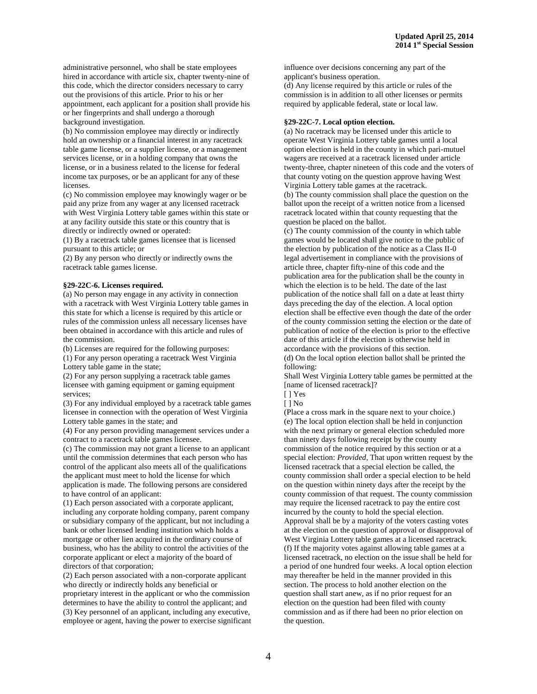administrative personnel, who shall be state employees hired in accordance with article six, chapter twenty-nine of this code, which the director considers necessary to carry out the provisions of this article. Prior to his or her appointment, each applicant for a position shall provide his or her fingerprints and shall undergo a thorough background investigation.

(b) No commission employee may directly or indirectly hold an ownership or a financial interest in any racetrack table game license, or a supplier license, or a management services license, or in a holding company that owns the license, or in a business related to the license for federal income tax purposes, or be an applicant for any of these licenses.

(c) No commission employee may knowingly wager or be paid any prize from any wager at any licensed racetrack with West Virginia Lottery table games within this state or at any facility outside this state or this country that is directly or indirectly owned or operated:

(1) By a racetrack table games licensee that is licensed pursuant to this article; or

(2) By any person who directly or indirectly owns the racetrack table games license.

### **§29-22C-6. Licenses required.**

(a) No person may engage in any activity in connection with a racetrack with West Virginia Lottery table games in this state for which a license is required by this article or rules of the commission unless all necessary licenses have been obtained in accordance with this article and rules of the commission.

(b) Licenses are required for the following purposes:

(1) For any person operating a racetrack West Virginia Lottery table game in the state;

(2) For any person supplying a racetrack table games licensee with gaming equipment or gaming equipment services;

(3) For any individual employed by a racetrack table games licensee in connection with the operation of West Virginia Lottery table games in the state; and

(4) For any person providing management services under a contract to a racetrack table games licensee.

(c) The commission may not grant a license to an applicant until the commission determines that each person who has control of the applicant also meets all of the qualifications the applicant must meet to hold the license for which application is made. The following persons are considered to have control of an applicant:

(1) Each person associated with a corporate applicant, including any corporate holding company, parent company or subsidiary company of the applicant, but not including a bank or other licensed lending institution which holds a mortgage or other lien acquired in the ordinary course of business, who has the ability to control the activities of the corporate applicant or elect a majority of the board of directors of that corporation;

(2) Each person associated with a non-corporate applicant who directly or indirectly holds any beneficial or proprietary interest in the applicant or who the commission determines to have the ability to control the applicant; and (3) Key personnel of an applicant, including any executive, employee or agent, having the power to exercise significant influence over decisions concerning any part of the applicant's business operation.

(d) Any license required by this article or rules of the commission is in addition to all other licenses or permits required by applicable federal, state or local law.

# **§29-22C-7. Local option election.**

(a) No racetrack may be licensed under this article to operate West Virginia Lottery table games until a local option election is held in the county in which pari-mutuel wagers are received at a racetrack licensed under article twenty-three, chapter nineteen of this code and the voters of that county voting on the question approve having West Virginia Lottery table games at the racetrack. (b) The county commission shall place the question on the ballot upon the receipt of a written notice from a licensed racetrack located within that county requesting that the question be placed on the ballot.

(c) The county commission of the county in which table games would be located shall give notice to the public of the election by publication of the notice as a Class II-0 legal advertisement in compliance with the provisions of article three, chapter fifty-nine of this code and the publication area for the publication shall be the county in which the election is to be held. The date of the last publication of the notice shall fall on a date at least thirty days preceding the day of the election. A local option election shall be effective even though the date of the order of the county commission setting the election or the date of publication of notice of the election is prior to the effective date of this article if the election is otherwise held in accordance with the provisions of this section. (d) On the local option election ballot shall be printed the following:

Shall West Virginia Lottery table games be permitted at the [name of licensed racetrack]?

[ ] Yes

[ ] No

(Place a cross mark in the square next to your choice.) (e) The local option election shall be held in conjunction with the next primary or general election scheduled more than ninety days following receipt by the county commission of the notice required by this section or at a special election: *Provided,* That upon written request by the licensed racetrack that a special election be called, the county commission shall order a special election to be held on the question within ninety days after the receipt by the county commission of that request. The county commission may require the licensed racetrack to pay the entire cost incurred by the county to hold the special election. Approval shall be by a majority of the voters casting votes at the election on the question of approval or disapproval of West Virginia Lottery table games at a licensed racetrack. (f) If the majority votes against allowing table games at a licensed racetrack, no election on the issue shall be held for a period of one hundred four weeks. A local option election may thereafter be held in the manner provided in this section. The process to hold another election on the question shall start anew, as if no prior request for an election on the question had been filed with county commission and as if there had been no prior election on the question.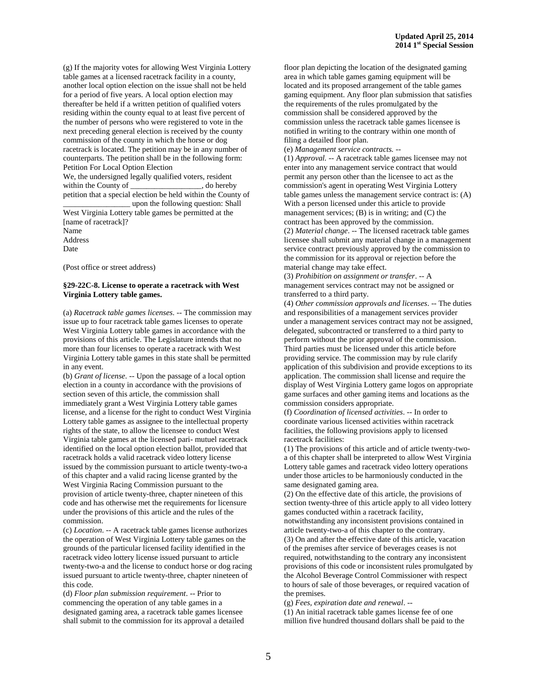(g) If the majority votes for allowing West Virginia Lottery table games at a licensed racetrack facility in a county, another local option election on the issue shall not be held for a period of five years. A local option election may thereafter be held if a written petition of qualified voters residing within the county equal to at least five percent of the number of persons who were registered to vote in the next preceding general election is received by the county commission of the county in which the horse or dog racetrack is located. The petition may be in any number of counterparts. The petition shall be in the following form: Petition For Local Option Election We, the undersigned legally qualified voters, resident within the County of the county of the county of  $\sim$ petition that a special election be held within the County of

\_\_\_\_\_\_\_\_\_\_\_\_\_\_\_\_\_ upon the following question: Shall West Virginia Lottery table games be permitted at the [name of racetrack]? Name Address Date

(Post office or street address)

## **§29-22C-8. License to operate a racetrack with West Virginia Lottery table games.**

(a) *Racetrack table games licenses*. -- The commission may issue up to four racetrack table games licenses to operate West Virginia Lottery table games in accordance with the provisions of this article. The Legislature intends that no more than four licenses to operate a racetrack with West Virginia Lottery table games in this state shall be permitted in any event.

(b) *Grant of license*. -- Upon the passage of a local option election in a county in accordance with the provisions of section seven of this article, the commission shall immediately grant a West Virginia Lottery table games license, and a license for the right to conduct West Virginia Lottery table games as assignee to the intellectual property rights of the state, to allow the licensee to conduct West Virginia table games at the licensed pari- mutuel racetrack identified on the local option election ballot, provided that racetrack holds a valid racetrack video lottery license issued by the commission pursuant to article twenty-two-a of this chapter and a valid racing license granted by the West Virginia Racing Commission pursuant to the provision of article twenty-three, chapter nineteen of this code and has otherwise met the requirements for licensure under the provisions of this article and the rules of the commission.

(c) *Location*. -- A racetrack table games license authorizes the operation of West Virginia Lottery table games on the grounds of the particular licensed facility identified in the racetrack video lottery license issued pursuant to article twenty-two-a and the license to conduct horse or dog racing issued pursuant to article twenty-three, chapter nineteen of this code.

(d) *Floor plan submission requirement*. -- Prior to commencing the operation of any table games in a designated gaming area, a racetrack table games licensee shall submit to the commission for its approval a detailed floor plan depicting the location of the designated gaming area in which table games gaming equipment will be located and its proposed arrangement of the table games gaming equipment. Any floor plan submission that satisfies the requirements of the rules promulgated by the commission shall be considered approved by the commission unless the racetrack table games licensee is notified in writing to the contrary within one month of filing a detailed floor plan.

(e) *Management service contracts. --*

(1) *Approval. --* A racetrack table games licensee may not enter into any management service contract that would permit any person other than the licensee to act as the commission's agent in operating West Virginia Lottery table games unless the management service contract is: (A) With a person licensed under this article to provide management services; (B) is in writing; and (C) the contract has been approved by the commission. (2) *Material change*. -- The licensed racetrack table games licensee shall submit any material change in a management service contract previously approved by the commission to the commission for its approval or rejection before the

material change may take effect. (3) *Prohibition on assignment or transfer*. -- A management services contract may not be assigned or transferred to a third party.

(4) *Other commission approvals and licenses*. -- The duties and responsibilities of a management services provider under a management services contract may not be assigned, delegated, subcontracted or transferred to a third party to perform without the prior approval of the commission. Third parties must be licensed under this article before providing service. The commission may by rule clarify application of this subdivision and provide exceptions to its application. The commission shall license and require the display of West Virginia Lottery game logos on appropriate game surfaces and other gaming items and locations as the commission considers appropriate.

(f) *Coordination of licensed activities*. -- In order to coordinate various licensed activities within racetrack facilities, the following provisions apply to licensed racetrack facilities:

(1) The provisions of this article and of article twenty-twoa of this chapter shall be interpreted to allow West Virginia Lottery table games and racetrack video lottery operations under those articles to be harmoniously conducted in the same designated gaming area.

(2) On the effective date of this article, the provisions of section twenty-three of this article apply to all video lottery games conducted within a racetrack facility,

notwithstanding any inconsistent provisions contained in article twenty-two-a of this chapter to the contrary.

(3) On and after the effective date of this article, vacation of the premises after service of beverages ceases is not required, notwithstanding to the contrary any inconsistent provisions of this code or inconsistent rules promulgated by the Alcohol Beverage Control Commissioner with respect to hours of sale of those beverages, or required vacation of the premises.

(g) *Fees, expiration date and renewal*. --

(1) An initial racetrack table games license fee of one million five hundred thousand dollars shall be paid to the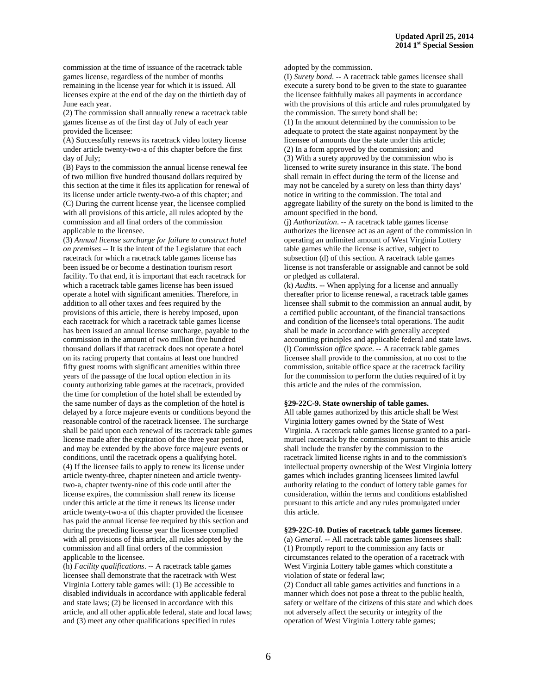commission at the time of issuance of the racetrack table games license, regardless of the number of months remaining in the license year for which it is issued. All licenses expire at the end of the day on the thirtieth day of June each year.

(2) The commission shall annually renew a racetrack table games license as of the first day of July of each year provided the licensee:

(A) Successfully renews its racetrack video lottery license under article twenty-two-a of this chapter before the first day of July;

(B) Pays to the commission the annual license renewal fee of two million five hundred thousand dollars required by this section at the time it files its application for renewal of its license under article twenty-two-a of this chapter; and (C) During the current license year, the licensee complied with all provisions of this article, all rules adopted by the commission and all final orders of the commission applicable to the licensee.

(3) *Annual license surcharge for failure to construct hotel on premises* -- It is the intent of the Legislature that each racetrack for which a racetrack table games license has been issued be or become a destination tourism resort facility. To that end, it is important that each racetrack for which a racetrack table games license has been issued operate a hotel with significant amenities. Therefore, in addition to all other taxes and fees required by the provisions of this article, there is hereby imposed, upon each racetrack for which a racetrack table games license has been issued an annual license surcharge, payable to the commission in the amount of two million five hundred thousand dollars if that racetrack does not operate a hotel on its racing property that contains at least one hundred fifty guest rooms with significant amenities within three years of the passage of the local option election in its county authorizing table games at the racetrack, provided the time for completion of the hotel shall be extended by the same number of days as the completion of the hotel is delayed by a force majeure events or conditions beyond the reasonable control of the racetrack licensee. The surcharge shall be paid upon each renewal of its racetrack table games license made after the expiration of the three year period, and may be extended by the above force majeure events or conditions, until the racetrack opens a qualifying hotel. (4) If the licensee fails to apply to renew its license under article twenty-three, chapter nineteen and article twentytwo-a, chapter twenty-nine of this code until after the license expires, the commission shall renew its license under this article at the time it renews its license under article twenty-two-a of this chapter provided the licensee has paid the annual license fee required by this section and during the preceding license year the licensee complied with all provisions of this article, all rules adopted by the commission and all final orders of the commission applicable to the licensee.

(h) *Facility qualifications*. -- A racetrack table games licensee shall demonstrate that the racetrack with West Virginia Lottery table games will: (1) Be accessible to disabled individuals in accordance with applicable federal and state laws; (2) be licensed in accordance with this article, and all other applicable federal, state and local laws; and (3) meet any other qualifications specified in rules

adopted by the commission.

(I) *Surety bond*. -- A racetrack table games licensee shall execute a surety bond to be given to the state to guarantee the licensee faithfully makes all payments in accordance with the provisions of this article and rules promulgated by the commission. The surety bond shall be:

(1) In the amount determined by the commission to be adequate to protect the state against nonpayment by the licensee of amounts due the state under this article; (2) In a form approved by the commission; and

(3) With a surety approved by the commission who is licensed to write surety insurance in this state. The bond shall remain in effect during the term of the license and may not be canceled by a surety on less than thirty days' notice in writing to the commission. The total and aggregate liability of the surety on the bond is limited to the amount specified in the bond.

(j) *Authorization*. -- A racetrack table games license authorizes the licensee act as an agent of the commission in operating an unlimited amount of West Virginia Lottery table games while the license is active, subject to subsection (d) of this section. A racetrack table games license is not transferable or assignable and cannot be sold or pledged as collateral.

(k) *Audits*. -- When applying for a license and annually thereafter prior to license renewal, a racetrack table games licensee shall submit to the commission an annual audit, by a certified public accountant, of the financial transactions and condition of the licensee's total operations. The audit shall be made in accordance with generally accepted accounting principles and applicable federal and state laws. (l) *Commission office space*. -- A racetrack table games licensee shall provide to the commission, at no cost to the commission, suitable office space at the racetrack facility for the commission to perform the duties required of it by this article and the rules of the commission.

#### **§29-22C-9. State ownership of table games.**

All table games authorized by this article shall be West Virginia lottery games owned by the State of West Virginia. A racetrack table games license granted to a parimutuel racetrack by the commission pursuant to this article shall include the transfer by the commission to the racetrack limited license rights in and to the commission's intellectual property ownership of the West Virginia lottery games which includes granting licensees limited lawful authority relating to the conduct of lottery table games for consideration, within the terms and conditions established pursuant to this article and any rules promulgated under this article.

#### **§29-22C-10. Duties of racetrack table games licensee**.

(a) *General*. -- All racetrack table games licensees shall: (1) Promptly report to the commission any facts or circumstances related to the operation of a racetrack with West Virginia Lottery table games which constitute a violation of state or federal law;

(2) Conduct all table games activities and functions in a manner which does not pose a threat to the public health, safety or welfare of the citizens of this state and which does not adversely affect the security or integrity of the operation of West Virginia Lottery table games;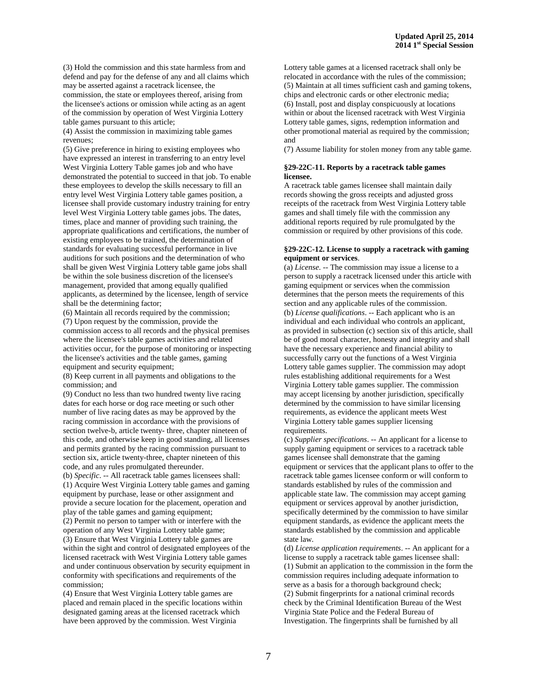(3) Hold the commission and this state harmless from and defend and pay for the defense of any and all claims which may be asserted against a racetrack licensee, the commission, the state or employees thereof, arising from the licensee's actions or omission while acting as an agent of the commission by operation of West Virginia Lottery table games pursuant to this article;

(4) Assist the commission in maximizing table games revenues;

(5) Give preference in hiring to existing employees who have expressed an interest in transferring to an entry level West Virginia Lottery Table games job and who have demonstrated the potential to succeed in that job. To enable these employees to develop the skills necessary to fill an entry level West Virginia Lottery table games position, a licensee shall provide customary industry training for entry level West Virginia Lottery table games jobs. The dates, times, place and manner of providing such training, the appropriate qualifications and certifications, the number of existing employees to be trained, the determination of standards for evaluating successful performance in live auditions for such positions and the determination of who shall be given West Virginia Lottery table game jobs shall be within the sole business discretion of the licensee's management, provided that among equally qualified applicants, as determined by the licensee, length of service shall be the determining factor;

(6) Maintain all records required by the commission; (7) Upon request by the commission, provide the commission access to all records and the physical premises where the licensee's table games activities and related activities occur, for the purpose of monitoring or inspecting the licensee's activities and the table games, gaming equipment and security equipment;

(8) Keep current in all payments and obligations to the commission; and

(9) Conduct no less than two hundred twenty live racing dates for each horse or dog race meeting or such other number of live racing dates as may be approved by the racing commission in accordance with the provisions of section twelve-b, article twenty- three, chapter nineteen of this code, and otherwise keep in good standing, all licenses and permits granted by the racing commission pursuant to section six, article twenty-three, chapter nineteen of this code, and any rules promulgated thereunder.

(b) *Specific*. -- All racetrack table games licensees shall: (1) Acquire West Virginia Lottery table games and gaming equipment by purchase, lease or other assignment and provide a secure location for the placement, operation and play of the table games and gaming equipment;

(2) Permit no person to tamper with or interfere with the operation of any West Virginia Lottery table game; (3) Ensure that West Virginia Lottery table games are within the sight and control of designated employees of the licensed racetrack with West Virginia Lottery table games and under continuous observation by security equipment in conformity with specifications and requirements of the commission;

(4) Ensure that West Virginia Lottery table games are placed and remain placed in the specific locations within designated gaming areas at the licensed racetrack which have been approved by the commission. West Virginia

Lottery table games at a licensed racetrack shall only be relocated in accordance with the rules of the commission; (5) Maintain at all times sufficient cash and gaming tokens, chips and electronic cards or other electronic media; (6) Install, post and display conspicuously at locations within or about the licensed racetrack with West Virginia Lottery table games, signs, redemption information and other promotional material as required by the commission; and

(7) Assume liability for stolen money from any table game.

## **§29-22C-11. Reports by a racetrack table games licensee.**

A racetrack table games licensee shall maintain daily records showing the gross receipts and adjusted gross receipts of the racetrack from West Virginia Lottery table games and shall timely file with the commission any additional reports required by rule promulgated by the commission or required by other provisions of this code.

### **§29-22C-12. License to supply a racetrack with gaming equipment or services**.

(a) *License*. -- The commission may issue a license to a person to supply a racetrack licensed under this article with gaming equipment or services when the commission determines that the person meets the requirements of this section and any applicable rules of the commission. (b) *License qualifications*. -- Each applicant who is an individual and each individual who controls an applicant, as provided in subsection (c) section six of this article, shall be of good moral character, honesty and integrity and shall have the necessary experience and financial ability to successfully carry out the functions of a West Virginia Lottery table games supplier. The commission may adopt rules establishing additional requirements for a West Virginia Lottery table games supplier. The commission may accept licensing by another jurisdiction, specifically determined by the commission to have similar licensing requirements, as evidence the applicant meets West Virginia Lottery table games supplier licensing requirements.

(c) *Supplier specifications*. -- An applicant for a license to supply gaming equipment or services to a racetrack table games licensee shall demonstrate that the gaming equipment or services that the applicant plans to offer to the racetrack table games licensee conform or will conform to standards established by rules of the commission and applicable state law. The commission may accept gaming equipment or services approval by another jurisdiction, specifically determined by the commission to have similar equipment standards, as evidence the applicant meets the standards established by the commission and applicable state law.

(d) *License application requirements*. -- An applicant for a license to supply a racetrack table games licensee shall: (1) Submit an application to the commission in the form the commission requires including adequate information to serve as a basis for a thorough background check; (2) Submit fingerprints for a national criminal records check by the Criminal Identification Bureau of the West Virginia State Police and the Federal Bureau of Investigation. The fingerprints shall be furnished by all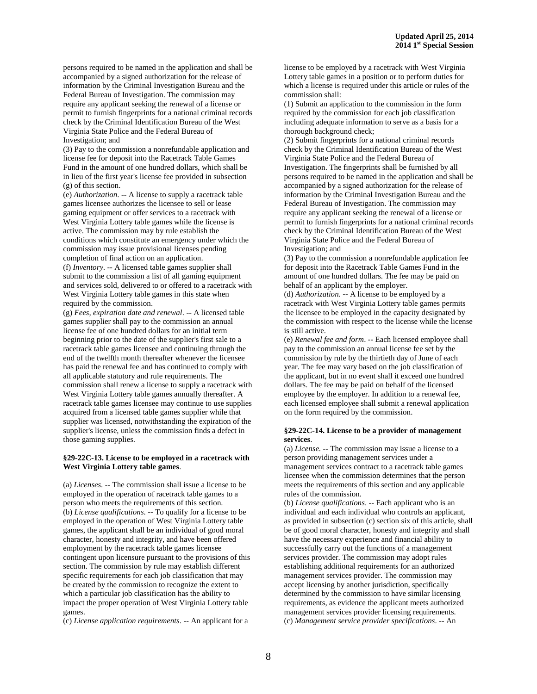persons required to be named in the application and shall be accompanied by a signed authorization for the release of information by the Criminal Investigation Bureau and the Federal Bureau of Investigation. The commission may require any applicant seeking the renewal of a license or permit to furnish fingerprints for a national criminal records check by the Criminal Identification Bureau of the West Virginia State Police and the Federal Bureau of Investigation; and

(3) Pay to the commission a nonrefundable application and license fee for deposit into the Racetrack Table Games Fund in the amount of one hundred dollars, which shall be in lieu of the first year's license fee provided in subsection (g) of this section.

(e) *Authorization*. -- A license to supply a racetrack table games licensee authorizes the licensee to sell or lease gaming equipment or offer services to a racetrack with West Virginia Lottery table games while the license is active. The commission may by rule establish the conditions which constitute an emergency under which the commission may issue provisional licenses pending completion of final action on an application. (f) *Inventory*. -- A licensed table games supplier shall submit to the commission a list of all gaming equipment and services sold, delivered to or offered to a racetrack with West Virginia Lottery table games in this state when

required by the commission.

(g) *Fees, expiration date and renewal*. -- A licensed table games supplier shall pay to the commission an annual license fee of one hundred dollars for an initial term beginning prior to the date of the supplier's first sale to a racetrack table games licensee and continuing through the end of the twelfth month thereafter whenever the licensee has paid the renewal fee and has continued to comply with all applicable statutory and rule requirements. The commission shall renew a license to supply a racetrack with West Virginia Lottery table games annually thereafter. A racetrack table games licensee may continue to use supplies acquired from a licensed table games supplier while that supplier was licensed, notwithstanding the expiration of the supplier's license, unless the commission finds a defect in those gaming supplies.

## **§29-22C-13. License to be employed in a racetrack with West Virginia Lottery table games**.

(a) *Licenses*. -- The commission shall issue a license to be employed in the operation of racetrack table games to a person who meets the requirements of this section. (b) *License qualifications*. -- To qualify for a license to be employed in the operation of West Virginia Lottery table games, the applicant shall be an individual of good moral character, honesty and integrity, and have been offered employment by the racetrack table games licensee contingent upon licensure pursuant to the provisions of this section. The commission by rule may establish different specific requirements for each job classification that may be created by the commission to recognize the extent to which a particular job classification has the ability to impact the proper operation of West Virginia Lottery table games.

(c) *License application requirements*. -- An applicant for a

license to be employed by a racetrack with West Virginia Lottery table games in a position or to perform duties for which a license is required under this article or rules of the commission shall:

(1) Submit an application to the commission in the form required by the commission for each job classification including adequate information to serve as a basis for a thorough background check;

(2) Submit fingerprints for a national criminal records check by the Criminal Identification Bureau of the West Virginia State Police and the Federal Bureau of Investigation. The fingerprints shall be furnished by all persons required to be named in the application and shall be accompanied by a signed authorization for the release of information by the Criminal Investigation Bureau and the Federal Bureau of Investigation. The commission may require any applicant seeking the renewal of a license or permit to furnish fingerprints for a national criminal records check by the Criminal Identification Bureau of the West Virginia State Police and the Federal Bureau of Investigation; and

(3) Pay to the commission a nonrefundable application fee for deposit into the Racetrack Table Games Fund in the amount of one hundred dollars. The fee may be paid on behalf of an applicant by the employer.

(d) *Authorization*. -- A license to be employed by a racetrack with West Virginia Lottery table games permits the licensee to be employed in the capacity designated by the commission with respect to the license while the license is still active.

(e) *Renewal fee and form*. -- Each licensed employee shall pay to the commission an annual license fee set by the commission by rule by the thirtieth day of June of each year. The fee may vary based on the job classification of the applicant, but in no event shall it exceed one hundred dollars. The fee may be paid on behalf of the licensed employee by the employer. In addition to a renewal fee, each licensed employee shall submit a renewal application on the form required by the commission.

## **§29-22C-14. License to be a provider of management services**.

(a) *License*. -- The commission may issue a license to a person providing management services under a management services contract to a racetrack table games licensee when the commission determines that the person meets the requirements of this section and any applicable rules of the commission.

(b) *License qualifications*. -- Each applicant who is an individual and each individual who controls an applicant, as provided in subsection (c) section six of this article, shall be of good moral character, honesty and integrity and shall have the necessary experience and financial ability to successfully carry out the functions of a management services provider. The commission may adopt rules establishing additional requirements for an authorized management services provider. The commission may accept licensing by another jurisdiction, specifically determined by the commission to have similar licensing requirements, as evidence the applicant meets authorized management services provider licensing requirements. (c) *Management service provider specifications*. -- An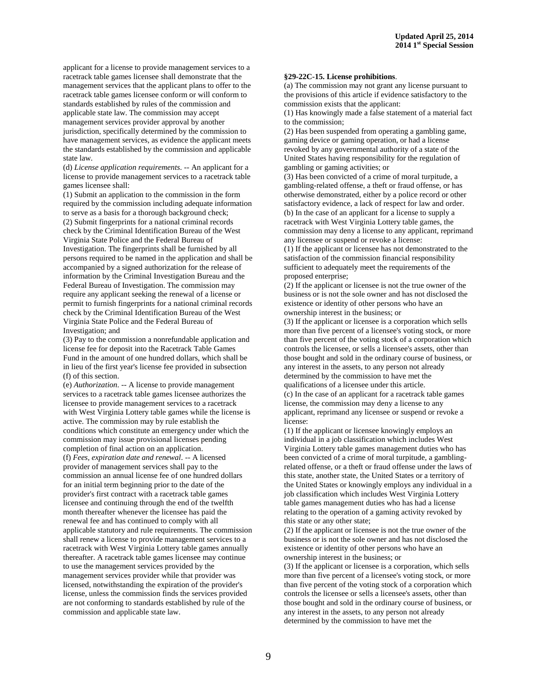applicant for a license to provide management services to a racetrack table games licensee shall demonstrate that the management services that the applicant plans to offer to the racetrack table games licensee conform or will conform to standards established by rules of the commission and applicable state law. The commission may accept management services provider approval by another jurisdiction, specifically determined by the commission to have management services, as evidence the applicant meets the standards established by the commission and applicable state law.

(d) *License application requirements*. -- An applicant for a license to provide management services to a racetrack table games licensee shall:

(1) Submit an application to the commission in the form required by the commission including adequate information to serve as a basis for a thorough background check; (2) Submit fingerprints for a national criminal records check by the Criminal Identification Bureau of the West Virginia State Police and the Federal Bureau of Investigation. The fingerprints shall be furnished by all persons required to be named in the application and shall be accompanied by a signed authorization for the release of information by the Criminal Investigation Bureau and the Federal Bureau of Investigation. The commission may require any applicant seeking the renewal of a license or permit to furnish fingerprints for a national criminal records check by the Criminal Identification Bureau of the West Virginia State Police and the Federal Bureau of Investigation; and

(3) Pay to the commission a nonrefundable application and license fee for deposit into the Racetrack Table Games Fund in the amount of one hundred dollars, which shall be in lieu of the first year's license fee provided in subsection (f) of this section.

(e) *Authorization*. -- A license to provide management services to a racetrack table games licensee authorizes the licensee to provide management services to a racetrack with West Virginia Lottery table games while the license is active. The commission may by rule establish the conditions which constitute an emergency under which the commission may issue provisional licenses pending completion of final action on an application. (f) *Fees, expiration date and renewal*. -- A licensed provider of management services shall pay to the commission an annual license fee of one hundred dollars for an initial term beginning prior to the date of the provider's first contract with a racetrack table games licensee and continuing through the end of the twelfth month thereafter whenever the licensee has paid the renewal fee and has continued to comply with all applicable statutory and rule requirements. The commission shall renew a license to provide management services to a racetrack with West Virginia Lottery table games annually thereafter. A racetrack table games licensee may continue to use the management services provided by the management services provider while that provider was licensed, notwithstanding the expiration of the provider's license, unless the commission finds the services provided are not conforming to standards established by rule of the commission and applicable state law.

### **§29-22C-15. License prohibitions**.

(a) The commission may not grant any license pursuant to the provisions of this article if evidence satisfactory to the commission exists that the applicant:

(1) Has knowingly made a false statement of a material fact to the commission;

(2) Has been suspended from operating a gambling game, gaming device or gaming operation, or had a license revoked by any governmental authority of a state of the United States having responsibility for the regulation of gambling or gaming activities; or

(3) Has been convicted of a crime of moral turpitude, a gambling-related offense, a theft or fraud offense, or has otherwise demonstrated, either by a police record or other satisfactory evidence, a lack of respect for law and order. (b) In the case of an applicant for a license to supply a racetrack with West Virginia Lottery table games, the commission may deny a license to any applicant, reprimand any licensee or suspend or revoke a license:

(1) If the applicant or licensee has not demonstrated to the satisfaction of the commission financial responsibility sufficient to adequately meet the requirements of the proposed enterprise;

(2) If the applicant or licensee is not the true owner of the business or is not the sole owner and has not disclosed the existence or identity of other persons who have an ownership interest in the business; or

(3) If the applicant or licensee is a corporation which sells more than five percent of a licensee's voting stock, or more than five percent of the voting stock of a corporation which controls the licensee, or sells a licensee's assets, other than those bought and sold in the ordinary course of business, or any interest in the assets, to any person not already determined by the commission to have met the qualifications of a licensee under this article. (c) In the case of an applicant for a racetrack table games license, the commission may deny a license to any applicant, reprimand any licensee or suspend or revoke a license:

(1) If the applicant or licensee knowingly employs an individual in a job classification which includes West Virginia Lottery table games management duties who has been convicted of a crime of moral turpitude, a gamblingrelated offense, or a theft or fraud offense under the laws of this state, another state, the United States or a territory of the United States or knowingly employs any individual in a job classification which includes West Virginia Lottery table games management duties who has had a license relating to the operation of a gaming activity revoked by this state or any other state;

(2) If the applicant or licensee is not the true owner of the business or is not the sole owner and has not disclosed the existence or identity of other persons who have an ownership interest in the business; or

(3) If the applicant or licensee is a corporation, which sells more than five percent of a licensee's voting stock, or more than five percent of the voting stock of a corporation which controls the licensee or sells a licensee's assets, other than those bought and sold in the ordinary course of business, or any interest in the assets, to any person not already determined by the commission to have met the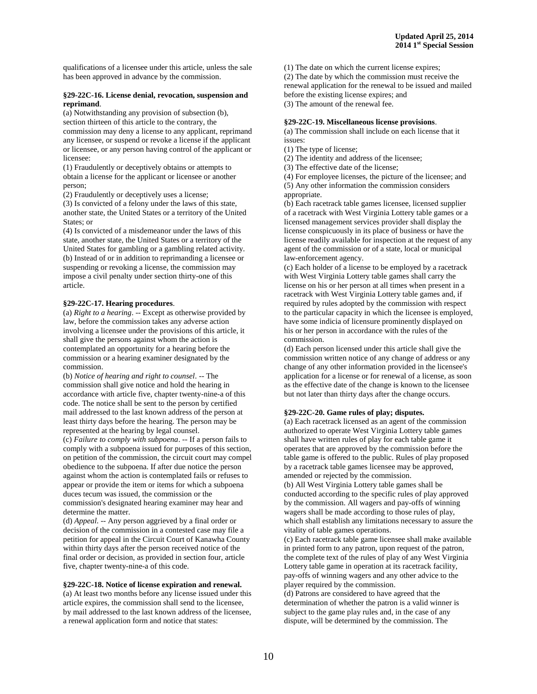qualifications of a licensee under this article, unless the sale has been approved in advance by the commission.

## **§29-22C-16. License denial, revocation, suspension and reprimand**.

(a) Notwithstanding any provision of subsection (b), section thirteen of this article to the contrary, the commission may deny a license to any applicant, reprimand any licensee, or suspend or revoke a license if the applicant or licensee, or any person having control of the applicant or licensee:

(1) Fraudulently or deceptively obtains or attempts to obtain a license for the applicant or licensee or another person;

(2) Fraudulently or deceptively uses a license;

(3) Is convicted of a felony under the laws of this state, another state, the United States or a territory of the United States: or

(4) Is convicted of a misdemeanor under the laws of this state, another state, the United States or a territory of the United States for gambling or a gambling related activity. (b) Instead of or in addition to reprimanding a licensee or suspending or revoking a license, the commission may impose a civil penalty under section thirty-one of this article.

## **§29-22C-17. Hearing procedures**.

(a) *Right to a hearing*. -- Except as otherwise provided by law, before the commission takes any adverse action involving a licensee under the provisions of this article, it shall give the persons against whom the action is contemplated an opportunity for a hearing before the commission or a hearing examiner designated by the commission.

(b) *Notice of hearing and right to counsel*. -- The commission shall give notice and hold the hearing in accordance with article five, chapter twenty-nine-a of this code. The notice shall be sent to the person by certified mail addressed to the last known address of the person at least thirty days before the hearing. The person may be represented at the hearing by legal counsel.

(c) *Failure to comply with subpoena*. -- If a person fails to comply with a subpoena issued for purposes of this section, on petition of the commission, the circuit court may compel obedience to the subpoena. If after due notice the person against whom the action is contemplated fails or refuses to appear or provide the item or items for which a subpoena duces tecum was issued, the commission or the commission's designated hearing examiner may hear and determine the matter.

(d) *Appeal*. -- Any person aggrieved by a final order or decision of the commission in a contested case may file a petition for appeal in the Circuit Court of Kanawha County within thirty days after the person received notice of the final order or decision, as provided in section four, article five, chapter twenty-nine-a of this code.

## **§29-22C-18. Notice of license expiration and renewal.**

(a) At least two months before any license issued under this article expires, the commission shall send to the licensee, by mail addressed to the last known address of the licensee, a renewal application form and notice that states:

(1) The date on which the current license expires;

(2) The date by which the commission must receive the renewal application for the renewal to be issued and mailed before the existing license expires; and (3) The amount of the renewal fee.

**§29-22C-19. Miscellaneous license provisions**.

(a) The commission shall include on each license that it issues:

(1) The type of license;

(2) The identity and address of the licensee;

(3) The effective date of the license;

(4) For employee licenses, the picture of the licensee; and (5) Any other information the commission considers appropriate.

(b) Each racetrack table games licensee, licensed supplier of a racetrack with West Virginia Lottery table games or a licensed management services provider shall display the license conspicuously in its place of business or have the license readily available for inspection at the request of any agent of the commission or of a state, local or municipal law-enforcement agency.

(c) Each holder of a license to be employed by a racetrack with West Virginia Lottery table games shall carry the license on his or her person at all times when present in a racetrack with West Virginia Lottery table games and, if required by rules adopted by the commission with respect to the particular capacity in which the licensee is employed, have some indicia of licensure prominently displayed on his or her person in accordance with the rules of the commission.

(d) Each person licensed under this article shall give the commission written notice of any change of address or any change of any other information provided in the licensee's application for a license or for renewal of a license, as soon as the effective date of the change is known to the licensee but not later than thirty days after the change occurs.

# **§29-22C-20. Game rules of play; disputes.**

(a) Each racetrack licensed as an agent of the commission authorized to operate West Virginia Lottery table games shall have written rules of play for each table game it operates that are approved by the commission before the table game is offered to the public. Rules of play proposed by a racetrack table games licensee may be approved, amended or rejected by the commission.

(b) All West Virginia Lottery table games shall be conducted according to the specific rules of play approved by the commission. All wagers and pay-offs of winning wagers shall be made according to those rules of play, which shall establish any limitations necessary to assure the vitality of table games operations.

(c) Each racetrack table game licensee shall make available in printed form to any patron, upon request of the patron, the complete text of the rules of play of any West Virginia Lottery table game in operation at its racetrack facility, pay-offs of winning wagers and any other advice to the player required by the commission.

(d) Patrons are considered to have agreed that the determination of whether the patron is a valid winner is subject to the game play rules and, in the case of any dispute, will be determined by the commission. The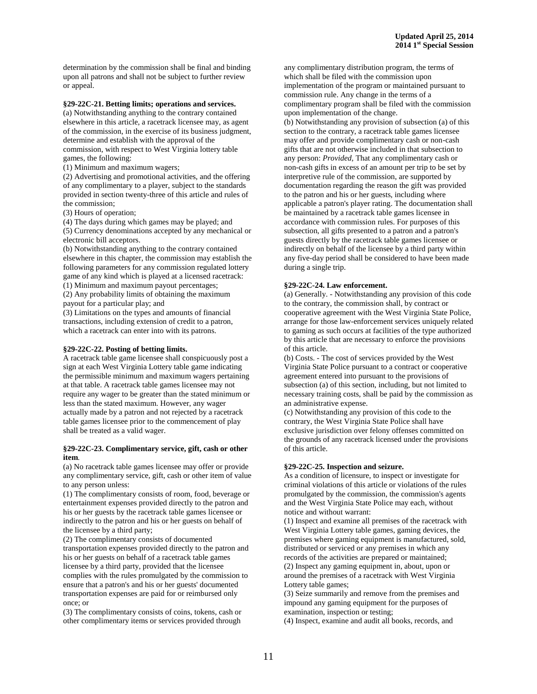determination by the commission shall be final and binding upon all patrons and shall not be subject to further review or appeal.

## **§29-22C-21. Betting limits; operations and services.**

(a) Notwithstanding anything to the contrary contained elsewhere in this article, a racetrack licensee may, as agent of the commission, in the exercise of its business judgment, determine and establish with the approval of the commission, with respect to West Virginia lottery table games, the following:

(1) Minimum and maximum wagers;

(2) Advertising and promotional activities, and the offering of any complimentary to a player, subject to the standards provided in section twenty-three of this article and rules of the commission;

(3) Hours of operation;

(4) The days during which games may be played; and (5) Currency denominations accepted by any mechanical or electronic bill acceptors.

(b) Notwithstanding anything to the contrary contained elsewhere in this chapter, the commission may establish the following parameters for any commission regulated lottery game of any kind which is played at a licensed racetrack: (1) Minimum and maximum payout percentages;

(2) Any probability limits of obtaining the maximum payout for a particular play; and

(3) Limitations on the types and amounts of financial transactions, including extension of credit to a patron, which a racetrack can enter into with its patrons.

### **§29-22C-22. Posting of betting limits.**

A racetrack table game licensee shall conspicuously post a sign at each West Virginia Lottery table game indicating the permissible minimum and maximum wagers pertaining at that table. A racetrack table games licensee may not require any wager to be greater than the stated minimum or less than the stated maximum. However, any wager actually made by a patron and not rejected by a racetrack table games licensee prior to the commencement of play shall be treated as a valid wager.

## **§29-22C-23. Complimentary service, gift, cash or other item**.

(a) No racetrack table games licensee may offer or provide any complimentary service, gift, cash or other item of value to any person unless:

(1) The complimentary consists of room, food, beverage or entertainment expenses provided directly to the patron and his or her guests by the racetrack table games licensee or indirectly to the patron and his or her guests on behalf of the licensee by a third party;

(2) The complimentary consists of documented transportation expenses provided directly to the patron and his or her guests on behalf of a racetrack table games licensee by a third party, provided that the licensee complies with the rules promulgated by the commission to ensure that a patron's and his or her guests' documented transportation expenses are paid for or reimbursed only once; or

(3) The complimentary consists of coins, tokens, cash or other complimentary items or services provided through

any complimentary distribution program, the terms of which shall be filed with the commission upon implementation of the program or maintained pursuant to commission rule. Any change in the terms of a complimentary program shall be filed with the commission upon implementation of the change.

(b) Notwithstanding any provision of subsection (a) of this section to the contrary, a racetrack table games licensee may offer and provide complimentary cash or non-cash gifts that are not otherwise included in that subsection to any person: *Provided,* That any complimentary cash or non-cash gifts in excess of an amount per trip to be set by interpretive rule of the commission, are supported by documentation regarding the reason the gift was provided to the patron and his or her guests, including where applicable a patron's player rating. The documentation shall be maintained by a racetrack table games licensee in accordance with commission rules. For purposes of this subsection, all gifts presented to a patron and a patron's guests directly by the racetrack table games licensee or indirectly on behalf of the licensee by a third party within any five-day period shall be considered to have been made during a single trip.

## **§29-22C-24. Law enforcement.**

(a) Generally. - Notwithstanding any provision of this code to the contrary, the commission shall, by contract or cooperative agreement with the West Virginia State Police, arrange for those law-enforcement services uniquely related to gaming as such occurs at facilities of the type authorized by this article that are necessary to enforce the provisions of this article.

(b) Costs. - The cost of services provided by the West Virginia State Police pursuant to a contract or cooperative agreement entered into pursuant to the provisions of subsection (a) of this section, including, but not limited to necessary training costs, shall be paid by the commission as an administrative expense.

(c) Notwithstanding any provision of this code to the contrary, the West Virginia State Police shall have exclusive jurisdiction over felony offenses committed on the grounds of any racetrack licensed under the provisions of this article.

# **§29-22C-25. Inspection and seizure.**

As a condition of licensure, to inspect or investigate for criminal violations of this article or violations of the rules promulgated by the commission, the commission's agents and the West Virginia State Police may each, without notice and without warrant:

(1) Inspect and examine all premises of the racetrack with West Virginia Lottery table games, gaming devices, the premises where gaming equipment is manufactured, sold, distributed or serviced or any premises in which any records of the activities are prepared or maintained; (2) Inspect any gaming equipment in, about, upon or around the premises of a racetrack with West Virginia Lottery table games;

(3) Seize summarily and remove from the premises and impound any gaming equipment for the purposes of examination, inspection or testing;

(4) Inspect, examine and audit all books, records, and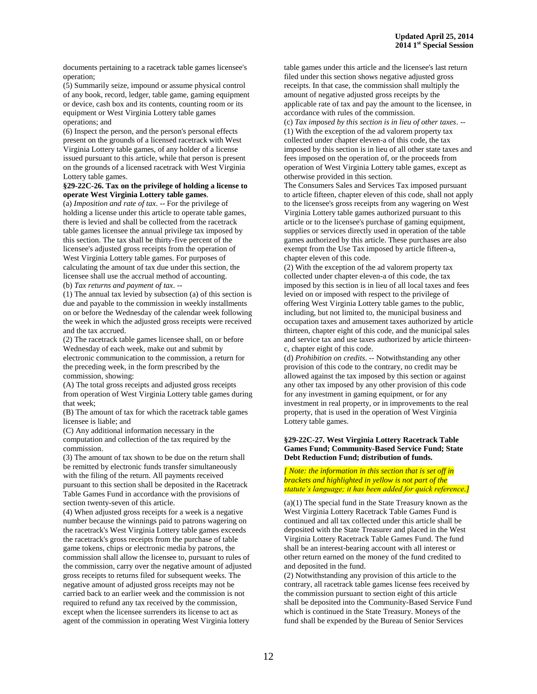documents pertaining to a racetrack table games licensee's operation;

(5) Summarily seize, impound or assume physical control of any book, record, ledger, table game, gaming equipment or device, cash box and its contents, counting room or its equipment or West Virginia Lottery table games operations; and

(6) Inspect the person, and the person's personal effects present on the grounds of a licensed racetrack with West Virginia Lottery table games, of any holder of a license issued pursuant to this article, while that person is present on the grounds of a licensed racetrack with West Virginia Lottery table games.

### **§29-22C-26. Tax on the privilege of holding a license to operate West Virginia Lottery table games**.

(a) *Imposition and rate of tax*. -- For the privilege of holding a license under this article to operate table games, there is levied and shall be collected from the racetrack table games licensee the annual privilege tax imposed by this section. The tax shall be thirty-five percent of the licensee's adjusted gross receipts from the operation of West Virginia Lottery table games. For purposes of calculating the amount of tax due under this section, the licensee shall use the accrual method of accounting. (b) *Tax returns and payment of tax*. --

(1) The annual tax levied by subsection (a) of this section is due and payable to the commission in weekly installments on or before the Wednesday of the calendar week following the week in which the adjusted gross receipts were received and the tax accrued.

(2) The racetrack table games licensee shall, on or before Wednesday of each week, make out and submit by electronic communication to the commission, a return for the preceding week, in the form prescribed by the commission, showing:

(A) The total gross receipts and adjusted gross receipts from operation of West Virginia Lottery table games during that week;

(B) The amount of tax for which the racetrack table games licensee is liable; and

(C) Any additional information necessary in the computation and collection of the tax required by the commission.

(3) The amount of tax shown to be due on the return shall be remitted by electronic funds transfer simultaneously with the filing of the return. All payments received pursuant to this section shall be deposited in the Racetrack Table Games Fund in accordance with the provisions of section twenty-seven of this article.

(4) When adjusted gross receipts for a week is a negative number because the winnings paid to patrons wagering on the racetrack's West Virginia Lottery table games exceeds the racetrack's gross receipts from the purchase of table game tokens, chips or electronic media by patrons, the commission shall allow the licensee to, pursuant to rules of the commission, carry over the negative amount of adjusted gross receipts to returns filed for subsequent weeks. The negative amount of adjusted gross receipts may not be carried back to an earlier week and the commission is not required to refund any tax received by the commission, except when the licensee surrenders its license to act as agent of the commission in operating West Virginia lottery

table games under this article and the licensee's last return filed under this section shows negative adjusted gross receipts. In that case, the commission shall multiply the amount of negative adjusted gross receipts by the applicable rate of tax and pay the amount to the licensee, in accordance with rules of the commission.

(c) *Tax imposed by this section is in lieu of other taxes*. -- (1) With the exception of the ad valorem property tax collected under chapter eleven-a of this code, the tax imposed by this section is in lieu of all other state taxes and fees imposed on the operation of, or the proceeds from operation of West Virginia Lottery table games, except as otherwise provided in this section.

The Consumers Sales and Services Tax imposed pursuant to article fifteen, chapter eleven of this code, shall not apply to the licensee's gross receipts from any wagering on West Virginia Lottery table games authorized pursuant to this article or to the licensee's purchase of gaming equipment, supplies or services directly used in operation of the table games authorized by this article. These purchases are also exempt from the Use Tax imposed by article fifteen-a, chapter eleven of this code.

(2) With the exception of the ad valorem property tax collected under chapter eleven-a of this code, the tax imposed by this section is in lieu of all local taxes and fees levied on or imposed with respect to the privilege of offering West Virginia Lottery table games to the public, including, but not limited to, the municipal business and occupation taxes and amusement taxes authorized by article thirteen, chapter eight of this code, and the municipal sales and service tax and use taxes authorized by article thirteenc, chapter eight of this code.

(d) *Prohibition on credits*. -- Notwithstanding any other provision of this code to the contrary, no credit may be allowed against the tax imposed by this section or against any other tax imposed by any other provision of this code for any investment in gaming equipment, or for any investment in real property, or in improvements to the real property, that is used in the operation of West Virginia Lottery table games.

## **§29-22C-27. West Virginia Lottery Racetrack Table Games Fund; Community-Based Service Fund; State Debt Reduction Fund; distribution of funds.**

### *[ Note: the information in this section that is set off in brackets and highlighted in yellow is not part of the statute's language; it has been added for quick reference.]*

(a)(1) The special fund in the State Treasury known as the West Virginia Lottery Racetrack Table Games Fund is continued and all tax collected under this article shall be deposited with the State Treasurer and placed in the West Virginia Lottery Racetrack Table Games Fund. The fund shall be an interest-bearing account with all interest or other return earned on the money of the fund credited to and deposited in the fund.

(2) Notwithstanding any provision of this article to the contrary, all racetrack table games license fees received by the commission pursuant to section eight of this article shall be deposited into the Community-Based Service Fund which is continued in the State Treasury. Moneys of the fund shall be expended by the Bureau of Senior Services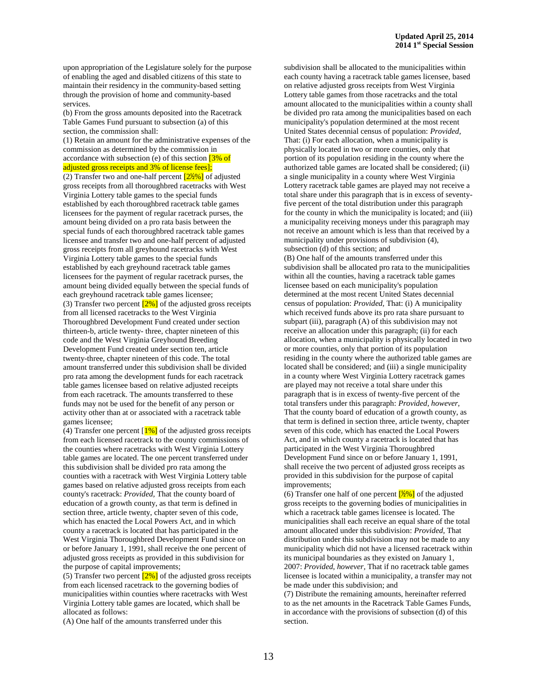upon appropriation of the Legislature solely for the purpose of enabling the aged and disabled citizens of this state to maintain their residency in the community-based setting through the provision of home and community-based services.

(b) From the gross amounts deposited into the Racetrack Table Games Fund pursuant to subsection (a) of this section, the commission shall:

(1) Retain an amount for the administrative expenses of the commission as determined by the commission in accordance with subsection (e) of this section [3% of

adjusted gross receipts and 3% of license fees];

(2) Transfer two and one-half percent  $[2\frac{1}{2}\%]$  of adjusted gross receipts from all thoroughbred racetracks with West Virginia Lottery table games to the special funds established by each thoroughbred racetrack table games licensees for the payment of regular racetrack purses, the amount being divided on a pro rata basis between the special funds of each thoroughbred racetrack table games licensee and transfer two and one-half percent of adjusted gross receipts from all greyhound racetracks with West Virginia Lottery table games to the special funds established by each greyhound racetrack table games licensees for the payment of regular racetrack purses, the amount being divided equally between the special funds of each greyhound racetrack table games licensee; (3) Transfer two percent  $\sqrt{2\%}$  of the adjusted gross receipts from all licensed racetracks to the West Virginia Thoroughbred Development Fund created under section thirteen-b, article twenty- three, chapter nineteen of this code and the West Virginia Greyhound Breeding Development Fund created under section ten, article twenty-three, chapter nineteen of this code. The total amount transferred under this subdivision shall be divided pro rata among the development funds for each racetrack table games licensee based on relative adjusted receipts from each racetrack. The amounts transferred to these funds may not be used for the benefit of any person or activity other than at or associated with a racetrack table

games licensee; (4) Transfer one percent  $\sqrt{1\%}$  of the adjusted gross receipts from each licensed racetrack to the county commissions of the counties where racetracks with West Virginia Lottery table games are located. The one percent transferred under this subdivision shall be divided pro rata among the counties with a racetrack with West Virginia Lottery table games based on relative adjusted gross receipts from each county's racetrack: *Provided,* That the county board of education of a growth county, as that term is defined in section three, article twenty, chapter seven of this code, which has enacted the Local Powers Act, and in which county a racetrack is located that has participated in the West Virginia Thoroughbred Development Fund since on or before January 1, 1991, shall receive the one percent of adjusted gross receipts as provided in this subdivision for the purpose of capital improvements;

(5) Transfer two percent  $\sqrt{2\%}$  of the adjusted gross receipts from each licensed racetrack to the governing bodies of municipalities within counties where racetracks with West Virginia Lottery table games are located, which shall be allocated as follows:

(A) One half of the amounts transferred under this

subdivision shall be allocated to the municipalities within each county having a racetrack table games licensee, based on relative adjusted gross receipts from West Virginia Lottery table games from those racetracks and the total amount allocated to the municipalities within a county shall be divided pro rata among the municipalities based on each municipality's population determined at the most recent United States decennial census of population: *Provided,* That: (i) For each allocation, when a municipality is physically located in two or more counties, only that portion of its population residing in the county where the authorized table games are located shall be considered; (ii) a single municipality in a county where West Virginia Lottery racetrack table games are played may not receive a total share under this paragraph that is in excess of seventyfive percent of the total distribution under this paragraph for the county in which the municipality is located; and (iii) a municipality receiving moneys under this paragraph may not receive an amount which is less than that received by a municipality under provisions of subdivision (4), subsection (d) of this section; and

(B) One half of the amounts transferred under this subdivision shall be allocated pro rata to the municipalities within all the counties, having a racetrack table games licensee based on each municipality's population determined at the most recent United States decennial census of population: *Provided,* That: (i) A municipality which received funds above its pro rata share pursuant to subpart (iii), paragraph (A) of this subdivision may not receive an allocation under this paragraph; (ii) for each allocation, when a municipality is physically located in two or more counties, only that portion of its population residing in the county where the authorized table games are located shall be considered; and (iii) a single municipality in a county where West Virginia Lottery racetrack games are played may not receive a total share under this paragraph that is in excess of twenty-five percent of the total transfers under this paragraph: *Provided, however,* That the county board of education of a growth county, as that term is defined in section three, article twenty, chapter seven of this code, which has enacted the Local Powers Act, and in which county a racetrack is located that has participated in the West Virginia Thoroughbred Development Fund since on or before January 1, 1991, shall receive the two percent of adjusted gross receipts as provided in this subdivision for the purpose of capital improvements;

(6) Transfer one half of one percent  $\frac{1}{2\%}$  of the adjusted gross receipts to the governing bodies of municipalities in which a racetrack table games licensee is located. The municipalities shall each receive an equal share of the total amount allocated under this subdivision: *Provided,* That distribution under this subdivision may not be made to any municipality which did not have a licensed racetrack within its municipal boundaries as they existed on January 1, 2007: *Provided, however,* That if no racetrack table games licensee is located within a municipality, a transfer may not be made under this subdivision; and

(7) Distribute the remaining amounts, hereinafter referred to as the net amounts in the Racetrack Table Games Funds, in accordance with the provisions of subsection (d) of this section.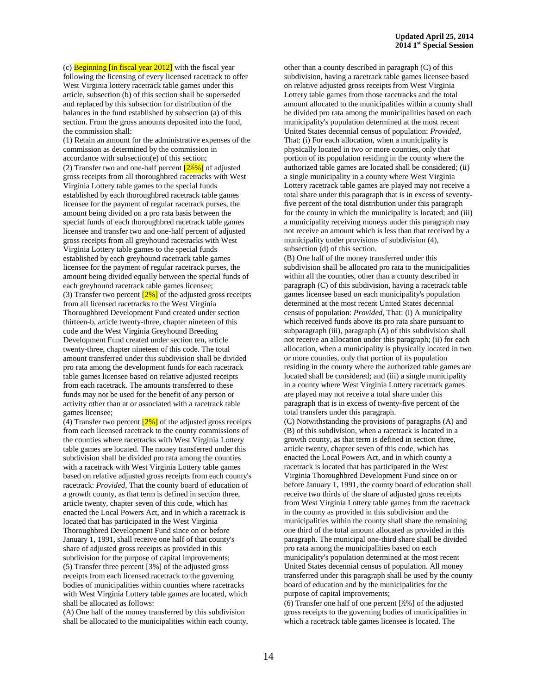(c) **Beginning [in fiscal year 2012]** with the fiscal year following the licensing of every licensed racetrack to offer West Virginia lottery racetrack table games under this article, subsection (b) of this section shall be superseded and replaced by this subsection for distribution of the balances in the fund established by subsection (a) of this section. From the gross amounts deposited into the fund, the commission shall:

(1) Retain an amount for the administrative expenses of the commission as determined by the commission in accordance with subsection(e) of this section; (2) Transfer two and one-half percent  $\sqrt{2\frac{2}{9}}$  of adjusted gross receipts from all thoroughbred racetracks with West Virginia Lottery table games to the special funds established by each thoroughbred racetrack table games licensee for the payment of regular racetrack purses, the amount being divided on a pro rata basis between the special funds of each thoroughbred racetrack table games licensee and transfer two and one-half percent of adjusted gross receipts from all greyhound racetracks with West Virginia Lottery table games to the special funds established by each greyhound racetrack table games licensee for the payment of regular racetrack purses, the amount being divided equally between the special funds of each greyhound racetrack table games licensee; (3) Transfer two percent  $\sqrt{2\%}$  of the adjusted gross receipts from all licensed racetracks to the West Virginia Thoroughbred Development Fund created under section thirteen-b, article twenty-three, chapter nineteen of this code and the West Virginia Greyhound Breeding Development Fund created under section ten, article twenty-three, chapter nineteen of this code. The total amount transferred under this subdivision shall be divided pro rata among the development funds for each racetrack table games licensee based on relative adjusted receipts from each racetrack. The amounts transferred to these funds may not be used for the benefit of any person or activity other than at or associated with a racetrack table games licensee;

(4) Transfer two percent  $\sqrt{2\%}$  of the adjusted gross receipts from each licensed racetrack to the county commissions of the counties where racetracks with West Virginia Lottery table games are located. The money transferred under this subdivision shall be divided pro rata among the counties with a racetrack with West Virginia Lottery table games based on relative adjusted gross receipts from each county's racetrack: *Provided,* That the county board of education of a growth county, as that term is defined in section three, article twenty, chapter seven of this code, which has enacted the Local Powers Act, and in which a racetrack is located that has participated in the West Virginia Thoroughbred Development Fund since on or before January 1, 1991, shall receive one half of that county's share of adjusted gross receipts as provided in this subdivision for the purpose of capital improvements; (5) Transfer three percent [3%] of the adjusted gross receipts from each licensed racetrack to the governing bodies of municipalities within counties where racetracks with West Virginia Lottery table games are located, which shall be allocated as follows:

(A) One half of the money transferred by this subdivision shall be allocated to the municipalities within each county,

other than a county described in paragraph (C) of this subdivision, having a racetrack table games licensee based on relative adjusted gross receipts from West Virginia Lottery table games from those racetracks and the total amount allocated to the municipalities within a county shall be divided pro rata among the municipalities based on each municipality's population determined at the most recent United States decennial census of population: *Provided,* That: (i) For each allocation, when a municipality is physically located in two or more counties, only that portion of its population residing in the county where the authorized table games are located shall be considered; (ii) a single municipality in a county where West Virginia Lottery racetrack table games are played may not receive a total share under this paragraph that is in excess of seventyfive percent of the total distribution under this paragraph for the county in which the municipality is located; and (iii) a municipality receiving moneys under this paragraph may not receive an amount which is less than that received by a municipality under provisions of subdivision (4), subsection (d) of this section.

(B) One half of the money transferred under this subdivision shall be allocated pro rata to the municipalities within all the counties, other than a county described in paragraph (C) of this subdivision, having a racetrack table games licensee based on each municipality's population determined at the most recent United States decennial census of population: *Provided,* That: (i) A municipality which received funds above its pro rata share pursuant to subparagraph (iii), paragraph (A) of this subdivision shall not receive an allocation under this paragraph; (ii) for each allocation, when a municipality is physically located in two or more counties, only that portion of its population residing in the county where the authorized table games are located shall be considered; and (iii) a single municipality in a county where West Virginia Lottery racetrack games are played may not receive a total share under this paragraph that is in excess of twenty-five percent of the total transfers under this paragraph.

(C) Notwithstanding the provisions of paragraphs (A) and (B) of this subdivision, when a racetrack is located in a growth county, as that term is defined in section three, article twenty, chapter seven of this code, which has enacted the Local Powers Act, and in which county a racetrack is located that has participated in the West Virginia Thoroughbred Development Fund since on or before January 1, 1991, the county board of education shall receive two thirds of the share of adjusted gross receipts from West Virginia Lottery table games from the racetrack in the county as provided in this subdivision and the municipalities within the county shall share the remaining one third of the total amount allocated as provided in this paragraph. The municipal one-third share shall be divided pro rata among the municipalities based on each municipality's population determined at the most recent United States decennial census of population. All money transferred under this paragraph shall be used by the county board of education and by the municipalities for the purpose of capital improvements;

(6) Transfer one half of one percent [½%] of the adjusted gross receipts to the governing bodies of municipalities in which a racetrack table games licensee is located. The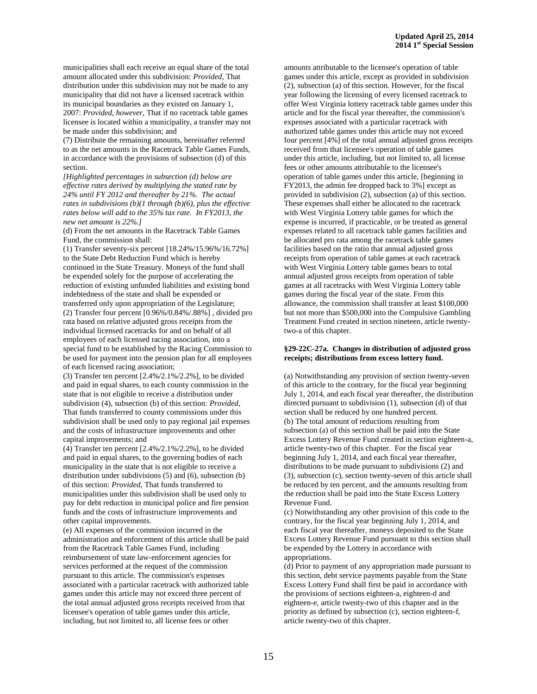municipalities shall each receive an equal share of the total amount allocated under this subdivision: *Provided,* That distribution under this subdivision may not be made to any municipality that did not have a licensed racetrack within its municipal boundaries as they existed on January 1, 2007: *Provided, however,* That if no racetrack table games licensee is located within a municipality, a transfer may not be made under this subdivision; and

(7) Distribute the remaining amounts, hereinafter referred to as the net amounts in the Racetrack Table Games Funds, in accordance with the provisions of subsection (d) of this section.

*[Highlighted percentages in subsection (d) below are effective rates derived by multiplying the stated rate by 24% until FY 2012 and thereafter by 21%. The actual rates in subdivisions (b)(1 through (b)(6), plus the effective rates below will add to the 35% tax rate. In FY2013, the new net amount is 22%.]*

(d) From the net amounts in the Racetrack Table Games Fund, the commission shall:

(1) Transfer seventy-six percent [18.24%/15.96%/16.72%] to the State Debt Reduction Fund which is hereby continued in the State Treasury. Moneys of the fund shall be expended solely for the purpose of accelerating the reduction of existing unfunded liabilities and existing bond indebtedness of the state and shall be expended or transferred only upon appropriation of the Legislature; (2) Transfer four percent [0.96%/0.84%/.88%] , divided pro rata based on relative adjusted gross receipts from the individual licensed racetracks for and on behalf of all employees of each licensed racing association, into a special fund to be established by the Racing Commission to be used for payment into the pension plan for all employees of each licensed racing association;

(3) Transfer ten percent [2.4%/2.1%/2.2%], to be divided and paid in equal shares, to each county commission in the state that is not eligible to receive a distribution under subdivision (4), subsection (b) of this section: *Provided,* That funds transferred to county commissions under this subdivision shall be used only to pay regional jail expenses and the costs of infrastructure improvements and other capital improvements; and

(4) Transfer ten percent [2.4%/2.1%/2.2%], to be divided and paid in equal shares, to the governing bodies of each municipality in the state that is not eligible to receive a distribution under subdivisions (5) and (6), subsection (b) of this section: *Provided,* That funds transferred to municipalities under this subdivision shall be used only to pay for debt reduction in municipal police and fire pension funds and the costs of infrastructure improvements and other capital improvements.

(e) All expenses of the commission incurred in the administration and enforcement of this article shall be paid from the Racetrack Table Games Fund, including reimbursement of state law-enforcement agencies for services performed at the request of the commission pursuant to this article. The commission's expenses associated with a particular racetrack with authorized table games under this article may not exceed three percent of the total annual adjusted gross receipts received from that licensee's operation of table games under this article, including, but not limited to, all license fees or other

amounts attributable to the licensee's operation of table games under this article, except as provided in subdivision (2), subsection (a) of this section. However, for the fiscal year following the licensing of every licensed racetrack to offer West Virginia lottery racetrack table games under this article and for the fiscal year thereafter, the commission's expenses associated with a particular racetrack with authorized table games under this article may not exceed four percent [4%] of the total annual adjusted gross receipts received from that licensee's operation of table games under this article, including, but not limited to, all license fees or other amounts attributable to the licensee's operation of table games under this article, [beginning in FY2013, the admin fee dropped back to 3%] except as provided in subdivision (2), subsection (a) of this section. These expenses shall either be allocated to the racetrack with West Virginia Lottery table games for which the expense is incurred, if practicable, or be treated as general expenses related to all racetrack table games facilities and be allocated pro rata among the racetrack table games facilities based on the ratio that annual adjusted gross receipts from operation of table games at each racetrack with West Virginia Lottery table games bears to total annual adjusted gross receipts from operation of table games at all racetracks with West Virginia Lottery table games during the fiscal year of the state. From this allowance, the commission shall transfer at least \$100,000 but not more than \$500,000 into the Compulsive Gambling Treatment Fund created in section nineteen, article twentytwo-a of this chapter.

## **§29-22C-27a. Changes in distribution of adjusted gross receipts; distributions from excess lottery fund.**

(a) Notwithstanding any provision of section twenty-seven of this article to the contrary, for the fiscal year beginning July 1, 2014, and each fiscal year thereafter, the distribution directed pursuant to subdivision (1), subsection (d) of that section shall be reduced by one hundred percent. (b) The total amount of reductions resulting from subsection (a) of this section shall be paid into the State Excess Lottery Revenue Fund created in section eighteen-a, article twenty-two of this chapter. For the fiscal year beginning July 1, 2014, and each fiscal year thereafter, distributions to be made pursuant to subdivisions (2) and (3), subsection (c), section twenty-seven of this article shall be reduced by ten percent, and the amounts resulting from the reduction shall be paid into the State Excess Lottery Revenue Fund.

(c) Notwithstanding any other provision of this code to the contrary, for the fiscal year beginning July 1, 2014, and each fiscal year thereafter, moneys deposited to the State Excess Lottery Revenue Fund pursuant to this section shall be expended by the Lottery in accordance with appropriations.

(d) Prior to payment of any appropriation made pursuant to this section, debt service payments payable from the State Excess Lottery Fund shall first be paid in accordance with the provisions of sections eighteen-a, eighteen-d and eighteen-e, article twenty-two of this chapter and in the priority as defined by subsection (c), section eighteen-f, article twenty-two of this chapter.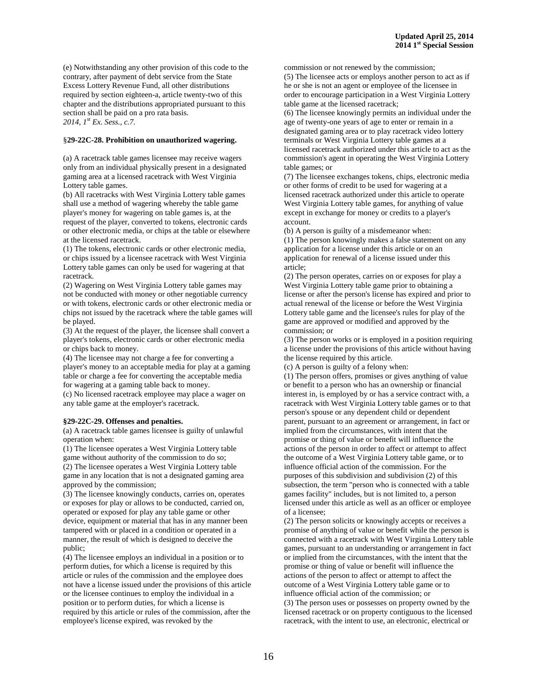(e) Notwithstanding any other provision of this code to the contrary, after payment of debt service from the State Excess Lottery Revenue Fund, all other distributions required by section eighteen-a, article twenty-two of this chapter and the distributions appropriated pursuant to this section shall be paid on a pro rata basis. *2014, 1st Ex. Sess., c.7.*

## §**29-22C-28. Prohibition on unauthorized wagering.**

(a) A racetrack table games licensee may receive wagers only from an individual physically present in a designated gaming area at a licensed racetrack with West Virginia Lottery table games.

(b) All racetracks with West Virginia Lottery table games shall use a method of wagering whereby the table game player's money for wagering on table games is, at the request of the player, converted to tokens, electronic cards or other electronic media, or chips at the table or elsewhere at the licensed racetrack.

(1) The tokens, electronic cards or other electronic media, or chips issued by a licensee racetrack with West Virginia Lottery table games can only be used for wagering at that racetrack.

(2) Wagering on West Virginia Lottery table games may not be conducted with money or other negotiable currency or with tokens, electronic cards or other electronic media or chips not issued by the racetrack where the table games will be played.

(3) At the request of the player, the licensee shall convert a player's tokens, electronic cards or other electronic media or chips back to money.

(4) The licensee may not charge a fee for converting a player's money to an acceptable media for play at a gaming table or charge a fee for converting the acceptable media for wagering at a gaming table back to money.

(c) No licensed racetrack employee may place a wager on any table game at the employer's racetrack.

### **§29-22C-29. Offenses and penalties.**

(a) A racetrack table games licensee is guilty of unlawful operation when:

(1) The licensee operates a West Virginia Lottery table game without authority of the commission to do so; (2) The licensee operates a West Virginia Lottery table game in any location that is not a designated gaming area approved by the commission;

(3) The licensee knowingly conducts, carries on, operates or exposes for play or allows to be conducted, carried on, operated or exposed for play any table game or other device, equipment or material that has in any manner been tampered with or placed in a condition or operated in a manner, the result of which is designed to deceive the public;

(4) The licensee employs an individual in a position or to perform duties, for which a license is required by this article or rules of the commission and the employee does not have a license issued under the provisions of this article or the licensee continues to employ the individual in a position or to perform duties, for which a license is required by this article or rules of the commission, after the employee's license expired, was revoked by the

commission or not renewed by the commission; (5) The licensee acts or employs another person to act as if he or she is not an agent or employee of the licensee in order to encourage participation in a West Virginia Lottery table game at the licensed racetrack;

(6) The licensee knowingly permits an individual under the age of twenty-one years of age to enter or remain in a designated gaming area or to play racetrack video lottery terminals or West Virginia Lottery table games at a licensed racetrack authorized under this article to act as the commission's agent in operating the West Virginia Lottery table games; or

(7) The licensee exchanges tokens, chips, electronic media or other forms of credit to be used for wagering at a licensed racetrack authorized under this article to operate West Virginia Lottery table games, for anything of value except in exchange for money or credits to a player's account.

(b) A person is guilty of a misdemeanor when: (1) The person knowingly makes a false statement on any application for a license under this article or on an application for renewal of a license issued under this article;

(2) The person operates, carries on or exposes for play a West Virginia Lottery table game prior to obtaining a license or after the person's license has expired and prior to actual renewal of the license or before the West Virginia Lottery table game and the licensee's rules for play of the game are approved or modified and approved by the commission; or

(3) The person works or is employed in a position requiring a license under the provisions of this article without having the license required by this article.

(c) A person is guilty of a felony when:

(1) The person offers, promises or gives anything of value or benefit to a person who has an ownership or financial interest in, is employed by or has a service contract with, a racetrack with West Virginia Lottery table games or to that person's spouse or any dependent child or dependent parent, pursuant to an agreement or arrangement, in fact or implied from the circumstances, with intent that the promise or thing of value or benefit will influence the actions of the person in order to affect or attempt to affect the outcome of a West Virginia Lottery table game, or to influence official action of the commission. For the purposes of this subdivision and subdivision (2) of this subsection, the term "person who is connected with a table games facility" includes, but is not limited to, a person licensed under this article as well as an officer or employee of a licensee;

(2) The person solicits or knowingly accepts or receives a promise of anything of value or benefit while the person is connected with a racetrack with West Virginia Lottery table games, pursuant to an understanding or arrangement in fact or implied from the circumstances, with the intent that the promise or thing of value or benefit will influence the actions of the person to affect or attempt to affect the outcome of a West Virginia Lottery table game or to influence official action of the commission; or (3) The person uses or possesses on property owned by the licensed racetrack or on property contiguous to the licensed racetrack, with the intent to use, an electronic, electrical or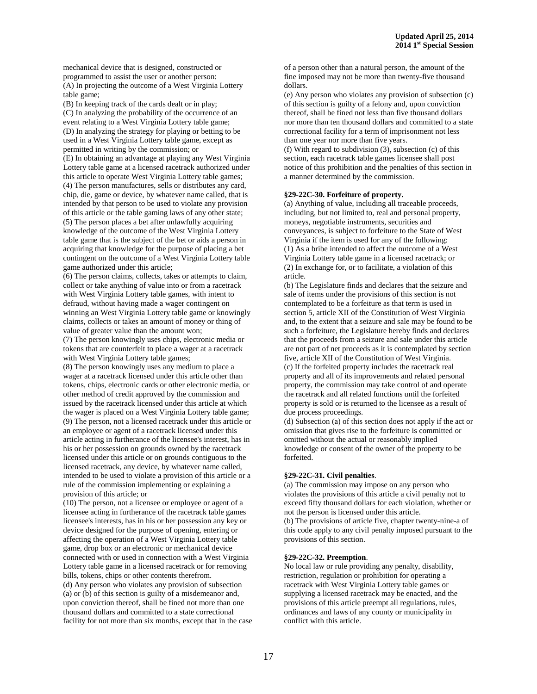mechanical device that is designed, constructed or programmed to assist the user or another person: (A) In projecting the outcome of a West Virginia Lottery table game;

(B) In keeping track of the cards dealt or in play; (C) In analyzing the probability of the occurrence of an event relating to a West Virginia Lottery table game; (D) In analyzing the strategy for playing or betting to be used in a West Virginia Lottery table game, except as permitted in writing by the commission; or (E) In obtaining an advantage at playing any West Virginia Lottery table game at a licensed racetrack authorized under this article to operate West Virginia Lottery table games; (4) The person manufactures, sells or distributes any card, chip, die, game or device, by whatever name called, that is intended by that person to be used to violate any provision of this article or the table gaming laws of any other state; (5) The person places a bet after unlawfully acquiring knowledge of the outcome of the West Virginia Lottery table game that is the subject of the bet or aids a person in acquiring that knowledge for the purpose of placing a bet contingent on the outcome of a West Virginia Lottery table game authorized under this article;

(6) The person claims, collects, takes or attempts to claim, collect or take anything of value into or from a racetrack with West Virginia Lottery table games, with intent to defraud, without having made a wager contingent on winning an West Virginia Lottery table game or knowingly claims, collects or takes an amount of money or thing of value of greater value than the amount won;

(7) The person knowingly uses chips, electronic media or tokens that are counterfeit to place a wager at a racetrack with West Virginia Lottery table games;

(8) The person knowingly uses any medium to place a wager at a racetrack licensed under this article other than tokens, chips, electronic cards or other electronic media, or other method of credit approved by the commission and issued by the racetrack licensed under this article at which the wager is placed on a West Virginia Lottery table game; (9) The person, not a licensed racetrack under this article or an employee or agent of a racetrack licensed under this article acting in furtherance of the licensee's interest, has in his or her possession on grounds owned by the racetrack licensed under this article or on grounds contiguous to the licensed racetrack, any device, by whatever name called, intended to be used to violate a provision of this article or a rule of the commission implementing or explaining a provision of this article; or

(10) The person, not a licensee or employee or agent of a licensee acting in furtherance of the racetrack table games licensee's interests, has in his or her possession any key or device designed for the purpose of opening, entering or affecting the operation of a West Virginia Lottery table game, drop box or an electronic or mechanical device connected with or used in connection with a West Virginia Lottery table game in a licensed racetrack or for removing bills, tokens, chips or other contents therefrom. (d) Any person who violates any provision of subsection (a) or (b) of this section is guilty of a misdemeanor and, upon conviction thereof, shall be fined not more than one thousand dollars and committed to a state correctional facility for not more than six months, except that in the case of a person other than a natural person, the amount of the fine imposed may not be more than twenty-five thousand dollars.

(e) Any person who violates any provision of subsection (c) of this section is guilty of a felony and, upon conviction thereof, shall be fined not less than five thousand dollars nor more than ten thousand dollars and committed to a state correctional facility for a term of imprisonment not less than one year nor more than five years.

(f) With regard to subdivision (3), subsection (c) of this section, each racetrack table games licensee shall post notice of this prohibition and the penalties of this section in a manner determined by the commission.

### **§29-22C-30. Forfeiture of property.**

(a) Anything of value, including all traceable proceeds, including, but not limited to, real and personal property, moneys, negotiable instruments, securities and conveyances, is subject to forfeiture to the State of West Virginia if the item is used for any of the following: (1) As a bribe intended to affect the outcome of a West Virginia Lottery table game in a licensed racetrack; or (2) In exchange for, or to facilitate, a violation of this article.

(b) The Legislature finds and declares that the seizure and sale of items under the provisions of this section is not contemplated to be a forfeiture as that term is used in section 5, article XII of the Constitution of West Virginia and, to the extent that a seizure and sale may be found to be such a forfeiture, the Legislature hereby finds and declares that the proceeds from a seizure and sale under this article are not part of net proceeds as it is contemplated by section five, article XII of the Constitution of West Virginia. (c) If the forfeited property includes the racetrack real property and all of its improvements and related personal property, the commission may take control of and operate the racetrack and all related functions until the forfeited property is sold or is returned to the licensee as a result of due process proceedings.

(d) Subsection (a) of this section does not apply if the act or omission that gives rise to the forfeiture is committed or omitted without the actual or reasonably implied knowledge or consent of the owner of the property to be forfeited.

### **§29-22C-31. Civil penalties**.

(a) The commission may impose on any person who violates the provisions of this article a civil penalty not to exceed fifty thousand dollars for each violation, whether or not the person is licensed under this article. (b) The provisions of article five, chapter twenty-nine-a of this code apply to any civil penalty imposed pursuant to the provisions of this section.

#### **§29-22C-32. Preemption**.

No local law or rule providing any penalty, disability, restriction, regulation or prohibition for operating a racetrack with West Virginia Lottery table games or supplying a licensed racetrack may be enacted, and the provisions of this article preempt all regulations, rules, ordinances and laws of any county or municipality in conflict with this article.